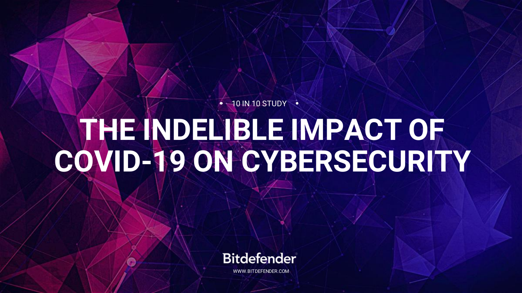10 IN 10 STUDY •  $\bullet$ 

# THE INDELIBLE IMPACT OF COVID-19 ON CYBERSECURITY



WWW.BITDEFENDER.COM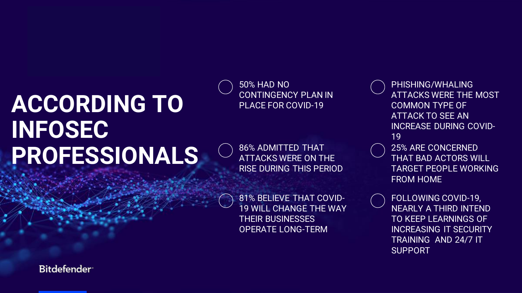## ACCORDING TO INFOSEC PROFESSIONALS

50% HAD NO CONTINGENCY PLAN IN PLACE FOR COVID-19

86% ADMITTED THAT ATTACKS WERE ON THE RISE DURING THIS PERIOD

81% BELIEVE THAT COVID-19 WILL CHANGE THE WAY THEIR BUSINESSES OPERATE LONG-TERM



PHISHING/WHALING ATTACKS WERE THE MOST COMMON TYPE OF ATTACK TO SEE AN INCREASE DURING COVID-19



25% ARE CONCERNED THAT BAD ACTORS WILL TARGET PEOPLE WORKING FROM HOME

FOLLOWING COVID-19, NEARLY A THIRD INTEND TO KEEP LEARNINGS OF INCREASING IT SECURITY TRAINING AND 24/7 IT SUPPORT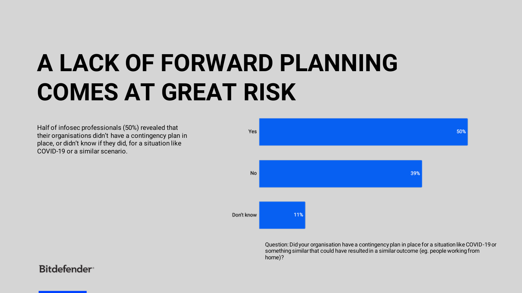# A LACK OF FORWARD PLANNING COMES AT GREAT RISK

Half of infosec professionals (50%) revealed that their organisations didn't have a contingency plan in place, or didn't know if they did, for a situation like COVID-19 or a similar scenario.



Question: Did your organisation have a contingency plan in place for a situation like COVID-19 or something similar that could have resulted in a similar outcome (eg. people working from home)?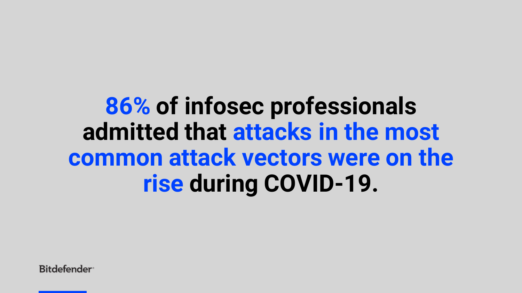## 86% of infosec professionals admitted that attacks in the most common attack vectors were on the rise during COVID-19.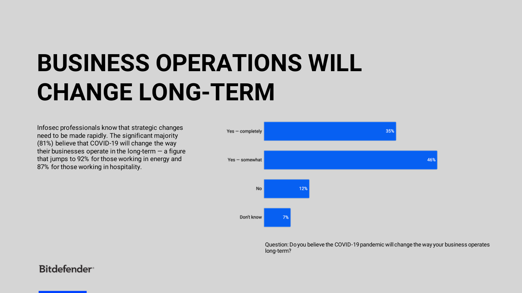## BUSINESS OPERATIONS WILL CHANGE LONG-TERM

Infosec professionals know that strategic changes need to be made rapidly. The significant majority (81%) believe that COVID-19 will change the way their businesses operate in the long-term  $-$  a figure that jumps to 92% for those working in energy and 87% for those working in hospitality.



Question: Do you believe the COVID-19 pandemic will change the way your business operates long-term?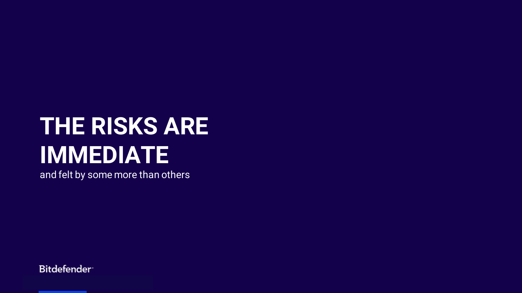# THE RISKS ARE IMMEDIATE

and felt by some more than others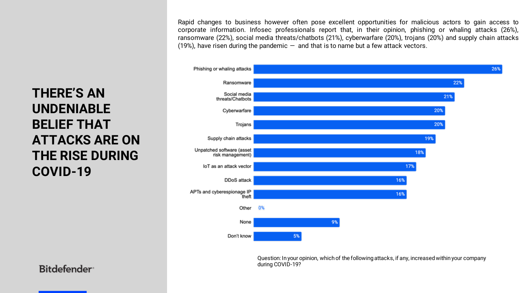Rapid changes to business however often pose excellent opportunities for malicious actors to gain access to corporate information. Infosec professionals report that, in their opinion, phishing or whaling attacks (26%), ransomware (22%), social media threats/chatbots (21%), cyberwarfare (20%), trojans (20%) and supply chain attacks (19%), have risen during the pandemic  $-$  and that is to name but a few attack vectors.



Question: In your opinion, which of the following attacks, if any, increased within your company during COVID-19?

THERE'S AN UNDENIABLE BELIEF THAT ATTACKS ARE ON THE RISE DURING COVID-19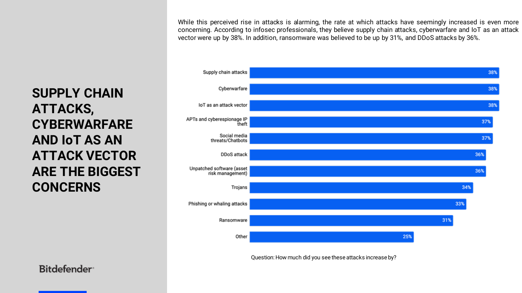While this perceived rise in attacks is alarming, the rate at which attacks have seemingly increased is even more concerning. According to infosec professionals, they believe supply chain attacks, cyberwarfare and IoT as an attack vector were up by 38%. In addition, ransomware was believed to be up by 31%, and DDoS attacks by 36%.



Question: How much did you see these attacks increase by?

SUPPLY CHAIN ATTACKS, **CYBERWARFARE** AND IoT AS AN ATTACK VECTOR ARE THE BIGGEST **CONCERNS**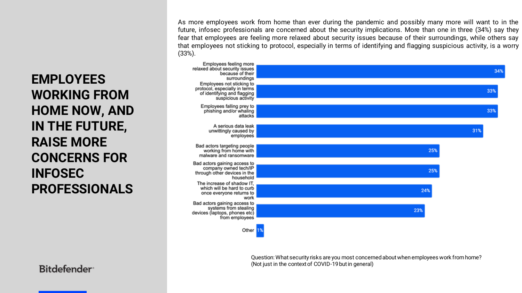As more employees work from home than ever during the pandemic and possibly many more will want to in the future, infosec professionals are concerned about the security implications. More than one in three (34%) say they fear that employees are feeling more relaxed about security issues because of their surroundings, while others say that employees not sticking to protocol, especially in terms of identifying and flagging suspicious activity, is a worry (33%).



Question: What security risks are you most concerned about when employees work from home? (Not just in the context of COVID-19 but in general)

EMPLOYEES WORKING FROM HOME NOW, AND IN THE FUTURE, RAISE MORE CONCERNS FOR INFOSEC PROFESSIONALS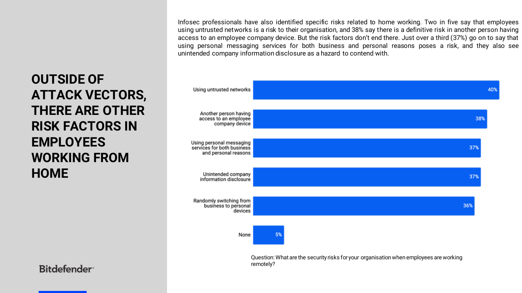OUTSIDE OF ATTACK VECTORS, THERE ARE OTHER RISK FACTORS IN EMPLOYEES WORKING FROM **HOME** 

Bitdefender<sup>®</sup>

Infosec professionals have also identified specific risks related to home working. Two in five say that employees using untrusted networks is a risk to their organisation, and 38% say there is a definitive risk in another person having access to an employee company device. But the risk factors don't end there. Just over a third (37%) go on to say that using personal messaging services for both business and personal reasons poses a risk, and they also see unintended company information disclosure as a hazard to contend with.



Question: What are the security risks for your organisation when employees are working remotely?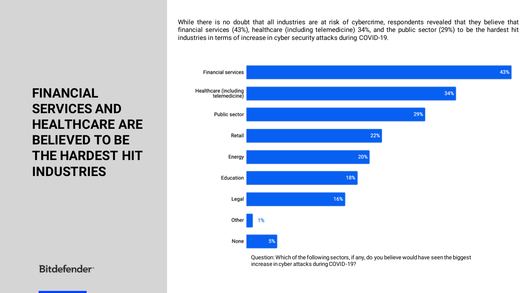FINANCIAL SERVICES AND HEALTHCARE ARE BELIEVED TO BE THE HARDEST HIT INDUSTRIES

Bitdefender<sup>®</sup>

While there is no doubt that all industries are at risk of cybercrime, respondents revealed that they believe that financial services (43%), healthcare (including telemedicine) 34%, and the public sector (29%) to be the hardest hit industries in terms of increase in cyber security attacks during COVID-19.



Question: Which of the following sectors, if any, do you believe would have seen the biggest increase in cyber attacks during COVID-19?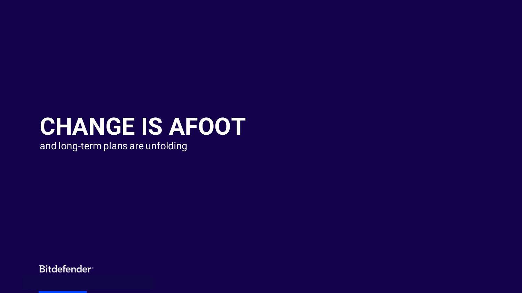### CHANGE IS AFOOT

and long-term plans are unfolding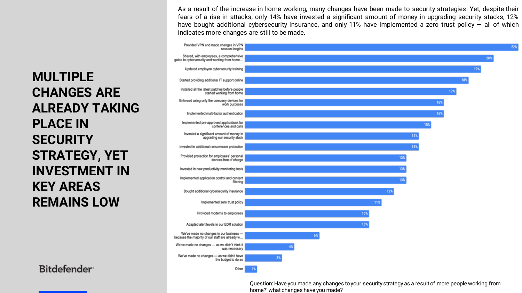As a result of the increase in home working, many changes have been made to security strategies. Yet, despite their fears of a rise in attacks, only 14% have invested a significant amount of money in upgrading security stacks, 12% have bought additional cybersecurity insurance, and only 11% have implemented a zero trust policy  $-$  all of which indicates more changes are still to be made.



Question: Have you made any changes to your security strategy as a result of more people working from home?' what changes have you made?

MULTIPLE CHANGES ARE ALREADY TAKING PLACE IN **SECURITY** STRATEGY, YET INVESTMENT IN KEY AREAS REMAINS LOW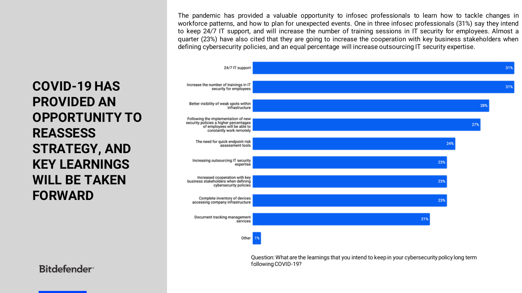The pandemic has provided a valuable opportunity to infosec professionals to learn how to tackle changes in workforce patterns, and how to plan for unexpected events. One in three infosec professionals (31%) say they intend to keep 24/7 IT support, and will increase the number of training sessions in IT security for employees. Almost a quarter (23%) have also cited that they are going to increase the cooperation with key business stakeholders when defining cybersecurity policies, and an equal percentage will increase outsourcing IT security expertise.



Question: What are the learnings that you intend to keep in your cybersecurity policy long term following COVID-19?

COVID-19 HAS PROVIDED AN OPPORTUNITY TO **REASSESS** STRATEGY, AND KEY LEARNINGS WILL BE TAKEN FORWARD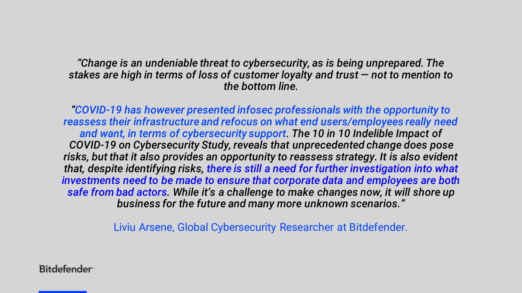*"Change is an undeniable threat to cybersecurity, as is being unprepared. The stakes are high in terms of loss of customer loyalty and trust — not to mention to the bottom line.* 

*"COVID-19 has however presented infosec professionals with the opportunity to reassess their infrastructure and refocus on what end users/employees really need*  and want, in terms of cybersecurity support. The 10 in 10 Indelible Impact of *COVID-19 on Cybersecurity Study, reveals that unprecedented change does pose risks, but that it also provides an opportunity to reassess strategy. It is also evident that, despite identifying risks, there is still a need for further investigation into what investments need to be made to ensure that corporate data and employees are both safe from bad actors. While it's a challenge to make changes now, it will shore up business for the future and many more unknown scenarios."*

Liviu Arsene, Global Cybersecurity Researcher at Bitdefender.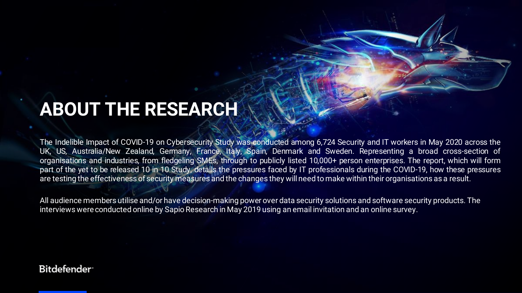### ABOUT THE RESEARCH

The Indelible Impact of COVID-19 on Cybersecurity Study was conducted among 6,724 Security and IT workers in May 2020 across the UK, US, Australia/New Zealand, Germany, France, Italy, Spain, Denmark and Sweden. Representing a broad cross-section of organisations and industries, from fledgeling SMEs, through to publicly listed 10,000+ person enterprises. The report, which will form part of the yet to be released 10 in 10 Study, details the pressures faced by IT professionals during the COVID-19, how these pressures are testing the effectiveness of security measures and the changes they will need to make within their organisations as a result.

All audience members utilise and/or have decision-making power over data security solutions and software security products. The interviews were conducted online by Sapio Research in May 2019 using an email invitation and an online survey.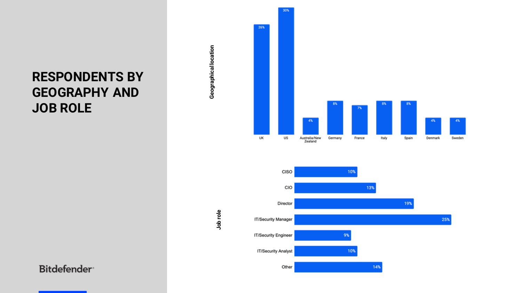### RESPONDENTS BY GEOGRAPHY AND JOB ROLE





**Job role**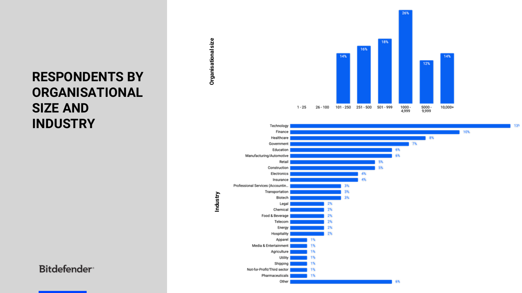### RESPONDENTS BY ORGANISATIONAL SIZE AND **INDUSTRY**



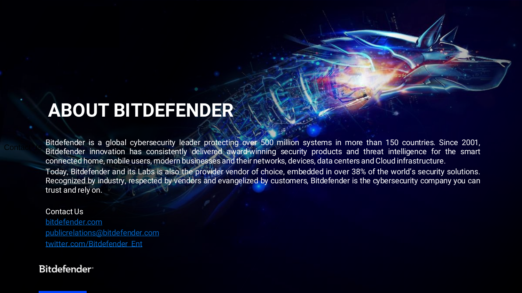### ABOUT BITDEFENDER

Bitdefender is a global cybersecurity leader protecting over 500 million systems in more than 150 countries. Since 2001, Bitdefender innovation has consistently delivered award-winning security products and threat intelligence for the smart connected home, mobile users, modern businesses and their networks, devices, data centers andCloud infrastructure.

Today, Bitdefender and its Labs is also the provider vendor of choice, embedded in over 38% of the world's security solutions. Recognized by industry, respected by vendors and evangelized by customers, Bitdefender is the cybersecurity company you can trust and rely on.

#### Contact Us

[bitdefender.com](https://www.bitdefender.com/) [publicrelations@bitdefender.com](mailto:publicrelations@bitdefender.com) [twitter.com/Bitdefender\\_Ent](https://twitter.com/Bitdefender_Ent)